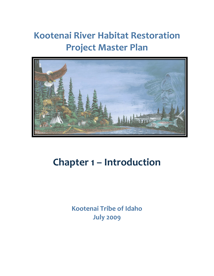# **Kootenai River Habitat Restoration Project Master Plan**



# **Chapter 1 – Introduction**

**Kootenai Tribe of Idaho July 2009**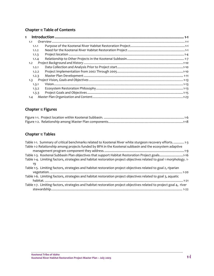# **Chapter 1: Table of Contents**

| $\mathbf 1$ |  |
|-------------|--|
| 1.1         |  |
| 1.1.1       |  |
| 1.1.2       |  |
| 1.1.3       |  |
| 1.1.4       |  |
| 1.2         |  |
| 1.2.1       |  |
| 1.2.2       |  |
| 1.2.3       |  |
| 1.3         |  |
| 1.3.1       |  |
| 1.3.2       |  |
| 1.3.3       |  |
| 1.4         |  |

# **Chapter 1: Figures**

# **Chapter 1: Tables**

| Table 1-1. Summary of critical benchmarks related to Kootenai River white sturgeon recovery efforts 1-3             |
|---------------------------------------------------------------------------------------------------------------------|
| Table 1-2 Relationship among projects funded by BPA in the Kootenai subbasin and the ecosystem adaptive             |
|                                                                                                                     |
| Table 1-3. Kootenai Subbasin Plan objectives that support Habitat Restoration Project goals1-16                     |
| Table 1-4. Limiting factors, strategies and habitat restoration project objectives related to goal 1 morphology. 1- |
| 19                                                                                                                  |
| Table 1-5. Limiting factors, strategies and habitat restoration project objectives related to goal 2, riparian      |
|                                                                                                                     |
| Table 1-6. Limiting factors, strategies and habitat restoration project objectives related to goal 3, aquatic       |
|                                                                                                                     |
| Table 1-7. Limiting factors, strategies and habitat restoration project objectives related to project goal 4, river |
|                                                                                                                     |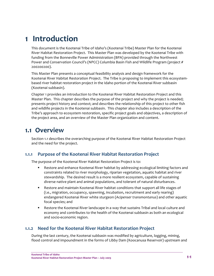# **1 Introduction**

This document is the Kootenai Tribe of Idaho's (Kootenai Tribe) Master Plan for the Kootenai River Habitat Restoration Project. This Master Plan was developed by the Kootenai Tribe with funding from the Bonneville Power Administration (BPA) provided through the Northwest Power and Conservation Council's (NPCC) Columbia Basin Fish and Wildlife Program (project # 200200200).

This Master Plan presents a conceptual feasibility analysis and design framework for the Kootenai River Habitat Restoration Project. The Tribe is proposing to implement this ecosystem‐ based river habitat restoration project in the Idaho portion of the Kootenai River subbasin (Kootenai subbasin).

Chapter 1 provides an introduction to the Kootenai River Habitat Restoration Project and this Master Plan. This chapter describes the purpose of the project and why the project is needed; presents project history and context; and describes the relationship of this project to other fish and wildlife projects in the Kootenai subbasin. This chapter also includes a description of the Tribe's approach to ecosystem restoration, specific project goals and objectives, a description of the project area, and an overview of the Master Plan organization and content.

# **1.1 Overview**

Section 1.1 describes the overarching purpose of the Kootenai River Habitat Restoration Project and the need for the project.

# **1.1.1 Purpose of the Kootenai River Habitat Restoration Project**

The purpose of the Kootenai River Habitat Restoration Project is to:

- Restore and enhance Kootenai River habitat by addressing ecological limiting factors and constraints related to river morphology, riparian vegetation, aquatic habitat and river stewardship. The desired result is a more resilient ecosystem, capable of sustaining diverse native plant and animal populations, and tolerant of natural disturbances.
- Restore and maintain Kootenai River habitat conditions that support all life stages of (i.e., migration, occupancy, spawning, incubation, recruitment and early rearing) endangered Kootenai River white sturgeon (*Acipenser transmontanus*) and other aquatic focal species; and
- Restore the Kootenai River landscape in a way that sustains Tribal and local culture and economy and contributes to the health of the Kootenai subbasin as both an ecological and socio‐economic region.

# **1.1.2 Need for the Kootenai River Habitat Restoration Project**

During the last century, the Kootenai subbasin was modified by agriculture, logging, mining, flood control and impoundment in the forms of Libby Dam (Koocanusa Reservoir) upstream and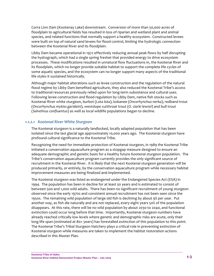Corra Linn Dam (Kootenay Lake) downstream. Conversion of more than 50,000 acres of floodplain to agricultural fields has resulted in loss of riparian and wetland plant and animal species, and related functions that normally support a healthy ecosystem. Constructed levees were built on top of natural sand levees for flood control, limiting the hydrologic connection between the Kootenai River and its floodplain.

Libby Dam became operational in 1972 effectively reducing annual peak flows by half disrupting the hydrograph, which had a single spring freshet that provided energy to drive ecosystem processes. These modifications resulted in unnatural flow fluctuations in, the Kootenai River and its floodplain, which no longer provide suitable habitat to support the complete life cycles of some aquatic species, and the ecosystem can no longer support many aspects of the traditional life styles it sustained historically.

Although major habitat alterations such as levee construction and the regulation of the natural flood regime by Libby Dam benefited agriculture, they also reduced the Kootenai Tribe's access to traditional resources previously relied upon for long‐term subsistence and cultural uses. Following levee construction and flood regulation by Libby Dam, native fish stocks such as Kootenai River white sturgeon, burbot (*Lota lota*), kokanee (*Oncorhynchus nerka*), redband trout (*Oncorhynchus mykiss garideini*), westslope cutthroat trout (*O. clarki lewisii*) and bull trout (*Salvelinus confluentus*) as well as local wildlife populations began to decline.

## *1.1.2.1 Kootenai River White Sturgeon*

The Kootenai sturgeon is a naturally landlocked, locally adapted population that has been isolated since the last glacial age approximately 10,000 years ago. The Kootenai sturgeon have profound cultural significance to the Kootenai Tribe.

Recognizing the need for immediate protection of Kootenai sturgeon, in 1989 the Kootenai Tribe initiated a conservation aquaculture program as a stopgap measure designed to ensure an adequate demographic and genetic basis for a healthy future Kootenai sturgeon population. The Tribe's conservation aquaculture program currently provides the only significant source of recruitment in the Kootenai River. It is likely that the next Kootenai sturgeon generation will be produced primarily, or entirely, by the conservation aquaculture program while necessary habitat improvement measures are being finalized and implemented.

The Kootenai sturgeon was listed as endangered under the Endangered Species Act (ESA) in 1994. The population has been in decline for at least 50 years and is estimated to consist of between 500 and 1,000 wild adults. There has been no significant recruitment of young sturgeon observed since the early 1970s and consistent annual recruitment has not been seen since the 1950s. The remaining wild population of large old fish is declining by about 9% per year. Put another way, as fish die naturally and are not replaced, every eight years 50% of the population disappears. At this rate, there will be no wild population by about 2030 to 2040, and functional extinction could occur long before that time. Importantly, Kootenai sturgeon numbers have already reached critically low levels where genetic and demographic risks are acute, only their long life span (estimated at 80+ years) has forestalled extinction of this population to this point. The Kootenai Tribe's Tribal Sturgeon Hatchery plays a critical role in preventing extinction of Kootenai sturgeon while measures are taken to implement the habitat restoration actions described in this Master Plan.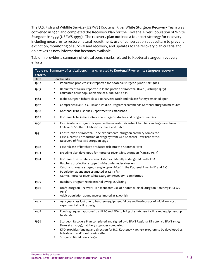The U.S. Fish and Wildlife Service (USFWS) Kootenai River White Sturgeon Recovery Team was convened in 1994 and completed the Recovery Plan for the Kootenai River Population of White Sturgeon in 1999 (USFWS 1999). The recovery plan outlined a four part strategy for recovery including measures to restore natural recruitment, use of conservation aquaculture to prevent extinction, monitoring of survival and recovery, and updates to the recovery plan criteria and objectives as new information becomes available.

|          | Table 1-1. Summary of critical benchmarks related to Kootenai River white sturgeon recovery                                                                                                                                                                                                                                                                                           |
|----------|---------------------------------------------------------------------------------------------------------------------------------------------------------------------------------------------------------------------------------------------------------------------------------------------------------------------------------------------------------------------------------------|
| efforts. |                                                                                                                                                                                                                                                                                                                                                                                       |
| Date     | <b>Benchmarks</b>                                                                                                                                                                                                                                                                                                                                                                     |
| 1980     | Population problems first reported for Kootenai sturgeon (Andrusak 1980)<br>$\blacksquare$                                                                                                                                                                                                                                                                                            |
| 1983     | Recruitment failure reported in Idaho portion of Kootenai River (Partridge 1983)<br>$\blacksquare$<br>Estimated adult population size of 8,000-9,000 fish<br>٠                                                                                                                                                                                                                        |
| 1984     | Idaho sturgeon fishery closed to harvest; catch and release fishery remained open<br>٠                                                                                                                                                                                                                                                                                                |
| 1987     | Comprehensive NPCC Fish and Wildlife Program recommends Kootenai sturgeon measures<br>٠                                                                                                                                                                                                                                                                                               |
| 1988     | Kootenai Tribe Fisheries Department is established<br>٠                                                                                                                                                                                                                                                                                                                               |
| 1988     | $\blacksquare$<br>Kootenai Tribe initiates Kootenai sturgeon studies and program planning                                                                                                                                                                                                                                                                                             |
| 1990     | First Kootenai sturgeon is spawned in makeshift river-bank hatchery and eggs are flown to<br>٠<br>College of Southern Idaho to incubate and hatch                                                                                                                                                                                                                                     |
| 1991     | $\blacksquare$<br>Construction of Kootenai Tribe experimental sturgeon hatchery completed<br>First successful production of progeny from wild Kootenai River broodstock<br>П<br>Recovery of first wild sturgeon eggs<br>٠                                                                                                                                                             |
| 1992     | First release of hatchery-produced fish into the Kootenai River<br>٠                                                                                                                                                                                                                                                                                                                  |
| 1993     | Breeding plan developed for Kootenai River white sturgeon (Kincaid 1993)<br>$\blacksquare$                                                                                                                                                                                                                                                                                            |
| 1994     | Kootenai River white sturgeon listed as federally endangered under ESA<br>٠<br>Hatchery production stopped while under federal review<br>$\blacksquare$<br>Catch and release sturgeon angling prohibited in the Kootenai River in ID and B.C.<br>٠<br>Population abundance estimated at 1,694 fish<br>П<br>USFWS Kootenai River White Sturgeon Recovery Team formed<br>$\blacksquare$ |
| 1995     | Hatchery program reinitiated following ESA listing<br>٠                                                                                                                                                                                                                                                                                                                               |
| 1996     | $\blacksquare$<br>Draft Sturgeon Recovery Plan mandates use of Kootenai Tribal Sturgeon Hatchery (USFWS<br>1996)<br>Adult population abundance estimated at 1,700 fish<br>$\blacksquare$                                                                                                                                                                                              |
| 1997     | $\blacksquare$<br>1997 year class lost due to hatchery equipment failure and inadequacy of initial low cost<br>experimental facility design                                                                                                                                                                                                                                           |
| 1998     | Funding request approved by NPPC and BPA to bring the hatchery facility and equipment up<br>٠<br>to standard                                                                                                                                                                                                                                                                          |
| 1999     | Sturgeon Recovery Plan completed and signed by USFWS Regional Director (USFWS 1999;<br>٠<br>Duke et al. 1999); hatchery upgrades completed<br>KTOI provides funding and direction for B.C. Kootenay Hatchery program to be developed as<br>$\blacksquare$<br>failsafe and additional rearing site<br>Sturgeon tiered flows begin<br>Е                                                 |

Table 1-1 provides a summary of critical benchmarks related to Kootenai sturgeon recovery efforts.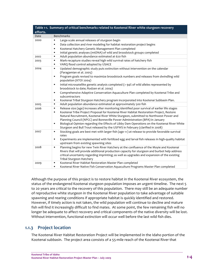|          | Table 1-1. Summary of critical benchmarks related to Kootenai River white sturgeon recovery                                                                                                                                                                                                                                                                                                                                                                                                                                                                                                                                                       |
|----------|---------------------------------------------------------------------------------------------------------------------------------------------------------------------------------------------------------------------------------------------------------------------------------------------------------------------------------------------------------------------------------------------------------------------------------------------------------------------------------------------------------------------------------------------------------------------------------------------------------------------------------------------------|
| efforts. |                                                                                                                                                                                                                                                                                                                                                                                                                                                                                                                                                                                                                                                   |
| Date     | <b>Benchmarks</b>                                                                                                                                                                                                                                                                                                                                                                                                                                                                                                                                                                                                                                 |
| 2000     | Large-scale annual releases of sturgeon begin<br>$\blacksquare$<br>Data collection and river modeling for habitat restoration project begins<br>$\blacksquare$<br>Kootenai Hatchery Genetic Management Plan completed<br>$\blacksquare$<br>Initial genetic analyses (mtDNA) of wild and broodstock groups completed<br>٠                                                                                                                                                                                                                                                                                                                          |
| 2002     | Adult population abundance estimated at 620 fish<br>$\blacksquare$                                                                                                                                                                                                                                                                                                                                                                                                                                                                                                                                                                                |
| 2003     | Mark-recapture studies reveal high wild survival rates of hatchery fish<br>$\blacksquare$<br>VARQ flood control adopted by USACE<br>$\blacksquare$                                                                                                                                                                                                                                                                                                                                                                                                                                                                                                |
| 2004     | Updated demographic study puts extinction without intervention on the calendar<br>$\blacksquare$<br>(Paragamian et al. 2005)<br>Program goals revised to maximize broodstock numbers and releases from dwindling wild<br>$\blacksquare$<br>population (KTOI 2004)<br>Initial microsatellite genetic analysis completed (> 94% of wild alleles represented by<br>$\blacksquare$<br>broodstock to date; Rodzen et al. 2004)<br>Comprehensive Adaptive Conservation Aquaculture Plan completed by Kootenai Tribe and<br>$\blacksquare$<br>subcontractors<br>Kootenai Tribal Sturgeon Hatchery program incorporated into Kootenai Subbasin Plan.<br>٠ |
| 2005     | Adult population abundance estimated at approximately 500 fish<br>$\blacksquare$                                                                                                                                                                                                                                                                                                                                                                                                                                                                                                                                                                  |
| 2006     | Release size (age) increases after monitoring identified poor survival of earlier life stages<br>$\blacksquare$<br>Kootenai Tribe Project Proposal for Kootenai River Habitat Restoration Project, Restore<br>$\blacksquare$<br>Natural Recruitment, Kootenai River White Sturgeon, submitted to Northwest Power and<br>Planning Council (NPCC) and Bonneville Power Administration (BPA) in January<br>Biological Opinion regarding the Effects of Libby Dam Operations on the Kootenai River White<br>٠<br>Sturgeon and Bull Trout released by the USFWS in February (clarified in 2008)                                                        |
| 2007     | Stocking goals are best met with larger fish (age 1+) at release to provide favorable survival<br>٠<br>rates<br>Experiments are implemented with fertilized egg and larval fish releases in high-quality habitat<br>٠<br>upstream from existing spawning sites                                                                                                                                                                                                                                                                                                                                                                                    |
| 2008     | Planning begins for new Twin River Hatchery at the confluence of the Moyie and Kootenai<br>$\blacksquare$<br>Rivers that will provide additional production capacity for sturgeon and burbot help address<br>critical uncertainty regarding imprinting; as well as upgrades and expansion of the existing<br>Tribal Sturgeon Hatchery                                                                                                                                                                                                                                                                                                             |
| 2009     | Kootenai River Habitat Restoration Master Plan completed<br>٠<br>Kootenai River Native Fish Conservation Aquaculture Programs Master Plan completed<br>$\blacksquare$                                                                                                                                                                                                                                                                                                                                                                                                                                                                             |

Although the purpose of this project is to restore habitat in the Kootenai River ecosystem, the status of the endangered Kootenai sturgeon population imposes an urgent timeline. The next 5 to 20 years are critical to the recovery of this population. There may still be an adequate number of reproductive white sturgeon in the Kootenai River population to take advantage of suitable spawning and rearing conditions if appropriate habitat is quickly identified and restored. However, if timely action is not taken, the wild population will continue to decline and mature fish will find it increasingly difficult to find mates. At some point, the few remaining fish will no longer be adequate to affect recovery and critical components of the native diversity will be lost. Without intervention, functional extinction will occur well before the last wild fish dies.

# **1.1.3 Project location**

The Kootenai River Habitat Restoration Project will be implemented in the Idaho portion of the Kootenai subbasin. The project area consists of a 55‐mile reach of the Kootenai River that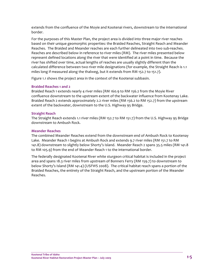extends from the confluence of the Moyie and Kootenai rivers, downstream to the international border.

For the purposes of this Master Plan, the project area is divided into three major river reaches based on their unique geomorphic properties: the Braided Reaches, Straight Reach and Meander Reaches. The Braided and Meander reaches are each further delineated into two sub‐reaches. Reaches are described below in reference to river miles (RM). The river miles presented below represent defined locations along the river that were identified at a point in time. Because the river has shifted over time, actual lengths of reaches are usually slightly different than the calculated difference between two river mile designations (for example, the Straight Reach is 1.1 miles long if measured along the thalweg, but it extends from RM 152.7 to 151.7).

Figure 1.1 shows the project area in the context of the Kootenai subbasin.

### **Braided Reaches 1 and 2**

Braided Reach 1 extends nearly 4 river miles (RM 160.9 to RM 156.2 from the Moyie River confluence downstream to the upstream extent of the backwater influence from Kootenay Lake. Braided Reach 2 extends approximately 2.2 river miles (RM 156.2 to RM 152.7) from the upstream extent of the backwater, downstream to the U.S. Highway 95 Bridge.

### **Straight Reach**

The Straight Reach extends 1.1 river miles (RM 152.7 to RM 151.7) from the U.S. Highway 95 Bridge downstream to Ambush Rock.

## **Meander Reaches**

The combined Meander Reaches extend from the downstream end of Ambush Rock to Kootenay Lake. Meander Reach 1 begins at Ambush Rock and extends 9.7 river miles (RM 151.7 to RM 141.8) downstream to slightly below Shorty's Island. Meander Reach 2 spans 35.5 miles (RM 141.8 to RM 105.9) from the end of Meander Reach 1 to the international border.

The federally designated Kootenai River white sturgeon critical habitat is included in the project area and spans 18.3 river miles from upstream of Bonners Ferry (RM 159.7) to downstream to below Shorty's Island (RM 141.4) (USFWS 2008). The critical habitat reach spans a portion of the Braided Reaches, the entirety of the Straight Reach, and the upstream portion of the Meander Reaches.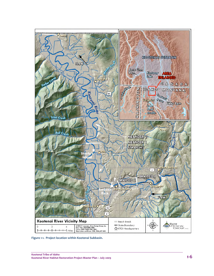

**Figure 1‐1. Project location within Kootenai Subbasin.**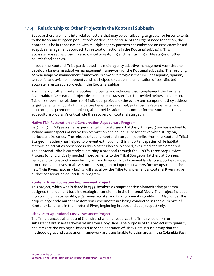# **1.1.4 Relationship to Other Projects in the Kootenai Subbasin**

Because there are many interrelated factors that may be contributing to greater or lesser extents to the Kootenai sturgeon population's decline, and because of the urgent need for action, the Kootenai Tribe in coordination with multiple agency partners has embraced an ecosystem‐based adaptive management approach to restoration actions in the Kootenai subbasin. This ecosystem‐based approach is also critical to restoring and maintaining all life stages of other aquatic focal species.

In 2004, the Kootenai Tribe participated in a multi‐agency adaptive management workshop to develop a long‐term adaptive management framework for the Kootenai subbasin. The resulting 20‐year adaptive management framework is a work in progress that includes aquatic, riparian, terrestrial and avian components and has helped to guide implementation of coordinated ecosystem restoration projects in the Kootenai subbasin.

A summary of other Kootenai subbasin projects and activities that complement the Kootenai River Habitat Restoration Project described in this Master Plan is provided below. In addition, Table 1‐2 shows the relationship of individual projects to the ecosystem component they address, target benefits, amount of time before benefits are realized, potential negative effects, and monitoring requirements. Table 1‐1, also provides additional context for the Kootenai Tribe's aquaculture program's critical role the recovery of Kootenai sturgeon.

### **Native Fish Restoration and Conservation Aquaculture Program**

Beginning in 1989 as a small experimental white sturgeon hatchery, this program has evolved to include many aspects of native fish restoration and aquaculture for native white sturgeon, burbot, and kokanee. The release of young Kootenai sturgeon juveniles from the Kootenai Tribal Sturgeon Hatchery has helped to prevent extinction of this important species while habitat restoration activities presented in this Master Plan are planned, evaluated and implemented. The Kootenai Tribe is currently submitting a proposal through the NPCC's Three‐Step Review Process to fund critically needed improvements to the Tribal Sturgeon Hatchery at Bonners Ferry, and to construct a new facility at Twin River on Tribally owned lands to support expanded production objectives to allow Kootenai sturgeon to imprint on waters further upstream. The new Twin Rivers hatchery facility will also allow the Tribe to implement a Kootenai River native burbot conservation aquaculture program.

### **Kootenai River Ecosystem Improvement Project**

This project, which was initiated in 1994, involves a comprehensive biomonitoring program designed to document baseline ecological conditions in the Kootenai River. The project includes monitoring of water quality, algal, invertebrate, and fish community conditions. Also, under this project large‐scale nutrient restoration experiments are being conducted in the South Arm of Kootenay Lake, and in the Kootenai River, beginning in 2004 and 2005 respectively.

### **Libby Dam Operational Loss Assessment Project**

The Tribe's ancestral lands and the fish and wildlife resources the Tribe relied upon for subsistence are in areas downstream from Libby Dam. The purpose of this project is to quantify and mitigate the ecological losses due to the operation of Libby Dam in such a way that the methodologies and assessment framework are transferable to other areas in the Columbia Basin.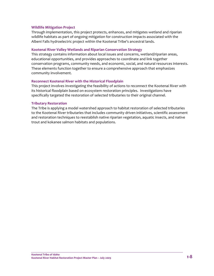### **Wildlife Mitigation Project**

Through implementation, this project protects, enhances, and mitigates wetland and riparian wildlife habitats as part of ongoing mitigation for construction impacts associated with the Albeni Falls hydroelectric project within the Kootenai Tribe's ancestral lands.

### **Kootenai River Valley Wetlands and Riparian Conservation Strategy**

This strategy contains information about local issues and concerns, wetland/riparian areas, educational opportunities, and provides approaches to coordinate and link together conservation programs, community needs, and economic, social, and natural resources interests. These elements function together to ensure a comprehensive approach that emphasizes community involvement.

### **Reconnect Kootenai River with the Historical Floodplain**

This project involves investigating the feasibility of actions to reconnect the Kootenai River with its historical floodplain based on ecosystem restoration principles. Investigations have specifically targeted the restoration of selected tributaries to their original channel.

### **Tributary Restoration**

The Tribe is applying a model watershed approach to habitat restoration of selected tributaries to the Kootenai River tributaries that includes community driven initiatives, scientific assessment and restoration techniques to reestablish native riparian vegetation, aquatic insects, and native trout and kokanee salmon habitats and populations.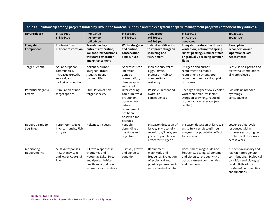| Table 1-2 Relationship among projects funded by BPA in the Kootenai subbasin and the ecosystem adaptive management program component they address. |                                                                                                  |                                                                                                                                            |                                                                                                                                 |                                                                                                                               |                                                                                                                                                   |                                                                                                                                                                                |
|----------------------------------------------------------------------------------------------------------------------------------------------------|--------------------------------------------------------------------------------------------------|--------------------------------------------------------------------------------------------------------------------------------------------|---------------------------------------------------------------------------------------------------------------------------------|-------------------------------------------------------------------------------------------------------------------------------|---------------------------------------------------------------------------------------------------------------------------------------------------|--------------------------------------------------------------------------------------------------------------------------------------------------------------------------------|
| <b>BPA Project #</b>                                                                                                                               | 199404900<br>198806500                                                                           | 199404900<br>199500400<br>198806400                                                                                                        | 198806400<br>198806500                                                                                                          | 200200200<br>198806500<br>198806400                                                                                           | 198806500<br>199500400<br>200715200                                                                                                               | 200200800<br>200201100                                                                                                                                                         |
| Ecosystem<br>Component:                                                                                                                            | Kootenai River<br>nutrient restoration                                                           | Transboundary<br>nutrient restoration,<br>kokanee introductions.<br>tributary restoration<br>and enhancement                               | White sturgeon<br>and burbot<br>conservation<br>aquaculture                                                                     | <b>Habitat modification</b><br>to improve sturgeon<br>spawning and<br>recruitment                                             | <b>Ecosystem restoration flows -</b><br>winter low, naturalized spring<br>runoff peaking, summer stable<br>or gradually declining summer<br>flows | Flood plain<br>reconnection and<br><b>Operational Loss</b><br><b>Assessments</b>                                                                                               |
| <b>Target Benefit</b>                                                                                                                              | Aquatic, riparian<br>communities,<br>increased growth,<br>survival, and<br>biological. condition | Kokanee, burbot,<br>sturgeon, trout;<br>Aquatic, riparian<br>communities                                                                   | Addresses stock<br>limitation,<br>genetic<br>conservation,<br>demographic<br>safety net                                         | Increase survival of<br>eggs, larvae.<br>Increase in habitat<br>complexity and<br>resiliency                                  | Sturgeon and burbot<br>recruitment, salmonid<br>recruitment, cottonwood<br>recruitment, natural floodplain<br>processes                           | Lentic, lotic, riparian and<br>terrestrial communities,<br>all trophic levels                                                                                                  |
| <b>Potential Negative</b><br>Effects                                                                                                               | Stimulation of non-<br>target species.                                                           | Stimulation of non-<br>target species.                                                                                                     | Overstocking<br>could limit wild<br>production,<br>however no<br>natural<br>recruitement<br>has been<br>observed for<br>decades | Possible unintended<br>hydraulic<br>consequences                                                                              | Seepage at higher flows, cooler<br>water temperatures inhibit<br>sturgeon spawning, reduced<br>productivity in reservoir (not<br>refilled)        | Possible unintended<br>hydrologic<br>consequences                                                                                                                              |
| Required Time to<br>See Effect                                                                                                                     | Periphyton -weeks<br>Inverts-months, Fish<br>$= 2 - 3$ yrs,                                      | Kokanee, 1-3 years                                                                                                                         | Variable<br>depending on<br>life stage and<br>objective                                                                         | In-season detection of<br>larvae, 2+ yrs to fully<br>recruit to gill nets; 30+<br>years for population<br>effect for sturgeon | In-season detection of larvae, 2+<br>yrs to fully recruit to gill nets,<br>30+years for population effect<br>for sturgeon                         | Lower trophic levels-<br>responses within<br>summer season, higher<br>trophic level responses<br>across years                                                                  |
| Monitoring<br>Requirements                                                                                                                         | All taxa responses<br>in Kootenay Lake<br>and lower Kootenai<br>River                            | All taxa responses in<br>tributaries and<br>Kootenay Lake Stream<br>and riparian habitat<br>health and condition<br>estimators and metrics | Survival, growth<br>and biological<br>condition                                                                                 | Recruitment<br>magnitude and<br>frequency. Evaluation<br>of ecological and<br>physical parameters in<br>newly created habitat | Recruitment magnitude and<br>frequency. Ecological condition<br>and biological productivity of<br>post-treatment communities<br>and functions     | Nutrient availability and<br>habitat heterogeneity<br>contributions. Ecological<br>condition and biological<br>productivity of post-<br>treatment communities<br>and functions |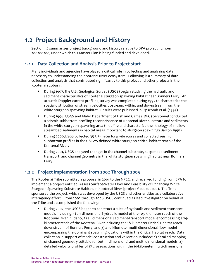# **1.2 Project Background and History**

Section 1.2 summarizes project background and history relative to BPA project number 200200200, under which this Master Plan is being funded and developed.

# **1.2.1 Data Collection and Analysis Prior to Project start**

Many individuals and agencies have played a critical role in collecting and analyzing data necessary to understanding the Kootenai River ecosystem. Following is a summary of data collection and analysis that contributed significantly to this project and other projects in the Kootenai subbasin:

- During 1997, the U.S. Geological Survey (USGS) began studying the hydraulic and sediment characteristics of Kootenai sturgeon spawning habitat near Bonners Ferry. An acoustic Doppler current profiling survey was completed during 1997 to characterize the spatial distribution of stream velocities upstream, within, and downstream from the white sturgeon spawning habitat. Results were published in Lipscomb et al. (1997).
- During 1998, USGS and Idaho Department of Fish and Game (IDFG) personnel conducted a seismic‐subbottom‐profiling reconnaissance of Kootenai River substrate and sediments in the white sturgeon spawning area to define and characterize the lithology of shallow streambed sediments in habitat areas important to sturgeon spawning (Barton 1998).
- During 2000, USGS collected 35 3.5-meter long vibracores and collected seismic subbottom profiles in the USFWS‐defined white sturgeon critical habitat reach of the Kootenai River.
- During 2001, USGS analyzed changes in the channel substrate, suspended sedimenttransport, and channel geometry in the white sturgeon spawning habitat near Bonners Ferry.

# **1.2.2 Project Implementation from 2002 Through 2005**

The Kootenai Tribe submitted a proposal in 2001 to the NPCC, and received funding from BPA to implement a project entitled, Assess Surface‐Water Flow And Feasibility of Enhancing White Sturgeon Spawning Substrate Habitat, in Kootenai River (project # 200200200). The Tribe sponsored the project, which was developed by the USGS and other entities as a collaborative interagency effort. From 2002 through 2006 USGS continued as lead investigator on behalf of the Tribe and accomplished the following:

■ During 2002, the USGS began to construct a suite of hydraulic and sediment-transport models including: 1) a 1‐dimensional hydraulic model of the 105‐kilometer reach of the Kootenai River in Idaho, 2) a 1‐dimensional sediment‐transport model encompassing a 24‐ kilometer reach of the Kootenai River including the 18‐kilometer Critical Habitat reach downstream of Bonners Ferry, and 3) a 10‐kilometer multi‐dimensional flow model encompassing the dominant spawning locations within the Critical Habitat reach. Data collection in support of model construction and validation included: 1) detailed mapping of channel geometry suitable for both 1‐dimensional and multi‐dimensional models, 2) detailed velocity profiles of 17 cross‐sections within the 10‐kilometer multi‐dimensional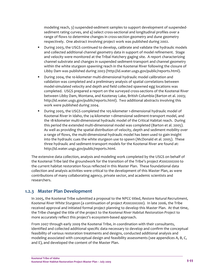modeling reach, 3) suspended‐sediment samples to support development of suspended‐ sediment rating curves, and 4) select cross-sectional and longitudinal profiles over a range of flows to determine changes in cross-section geometry and dune geometry respectively. One abstract involving project work was published during 2002.

- During 2003, the USGS continued to develop, calibrate and validate the hydraulic models and collected additional channel geometry data in support of model refinement. Stage and velocity were monitored at the Tribal Hatchery gaging site. A report characterizing channel substrate and changes in suspended sediment‐transport and channel geometry within the white sturgeon spawning reach in the Kootenai River following the closure of Libby Dam was published during 2003 (http://id.water.usgs.gov/public/reports.html).
- During 2004, the 10‐kilometer multi‐dimensional hydraulic model calibration and validation was completed and a preliminary analysis of spatial correlations between model‐simulated velocity and depth and field collected spawned egg locations was completed. USGS prepared a report on the surveyed cross‐sections of the Kootenai River between Libby Dam, Montana, and Kootenay Lake, British Columbia (Barton et al. 2003; http://id.water.usgs.gov/public/reports.html). Two additional abstracts involving this work were published during 2004.
- During 2005, the USGS completed the 105-kilometer 1-dimensional hydraulic model of Kootenai River in Idaho, the 24‐kilometer 1‐dimensional sediment‐transport model, and the 18-kilometer multi-dimensional hydraulic model of the Critical Habitat reach. During this period the extended multi‐dimensional model was completed (Barton et al. 2005). As well as providing the spatial distribution of velocity, depth and sediment mobility over a range of flows, the multi‐dimensional hydraulic model has been used to gain insight into the hydraulic cues the white sturgeon use to spawn (McDonald et al. 2005). These three hydraulic and sediment‐transport models for the Kootenai River are found at: http://id.water.usgs.gov/public/reports.html.

The extensive data collection, analysis and modeling work completed by the USGS on behalf of the Kootenai Tribe laid the groundwork for the transition of the Tribe's project #200200200 to the current habitat restoration focus reflected in this Master Plan. These foundational data collection and analysis activities were critical to the development of this Master Plan, as were contributions of many collaborating agency, private sector, and academic scientists and researchers.

# **1.2.3 Master Plan Development**

In 2005, the Kootenai Tribe submitted a proposal to the NPCC titled, *Restore Natural Recruitment, Kootenai River White Sturgeon* (a continuation of project #200200200). In late 2006, the Tribe received approval and initiated formal project planning to develop this Master Plan. At that time, the Tribe changed the title of the project to the *Kootenai River Habitat Restoration Project* to more accurately reflect this project's ecosystem-based approach.

From 2007 through early 2009 the Kootenai Tribe, in coordination with their consultants, identified and collected additional specific data necessary to develop and confirm the conceptual feasibility of various restoration treatments and designs, conducted additional analysis and modeling associated with conceptual design and feasibility assessments (see appendices A, B, C, and E), and developed the content of the Master Plan.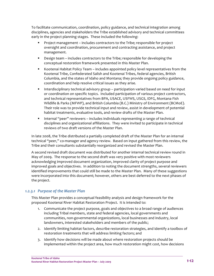To facilitate communication, coordination, policy guidance, and technical integration among disciplines, agencies and stakeholders the Tribe established advisory and technical committees early in the project planning stages. These included the following:

- Project management includes contractors to the Tribe; responsible for project oversight and coordination, procurement and contracting assistance, and project management.
- **•** Design team includes contractors to the Tribe; responsible for developing the conceptual restoration framework presented in this Master Plan.
- **Kootenai Habitat Policy Team includes appointed policy level representatives from the** Kootenai Tribe, Confederated Salish and Kootenai Tribes, federal agencies, British Columbia, and the states of Idaho and Montana; they provide ongoing policy guidance, coordination and help resolve critical issues as they arise.
- **Interdisciplinary technical advisory group participation varied based on need for input** or coordination on specific topics. Included participation of various project contractors, and technical representatives from BPA, USACE, USFWS, USGS, IDFG, Montana Fish Wildlife & Parks (MFWP), and British Columbia (B.C.) Ministry of Environment (BCMoE). Their role was to provide technical input and review, assist in development of potential habitat treatments, evaluative tools, and review drafts of the Master Plan.
- Internal "peer" reviewers includes individuals representing a range of technical disciplines and organizational affiliations. They were invited to participate in technical reviews of two draft versions of the Master Plan.

In late 2008, the Tribe distributed a partially completed draft of the Master Plan for an internal technical "peer," co-manager and agency review. Based on input gathered from this review, the Tribe and their consultants substantially reorganized and revised the Master Plan.

A second revised draft document was distributed for another internal technical review round in May of 2009. The response to the second draft was very positive with most reviewers acknowledging improved document organization, improved clarity of project purpose and improved goals and objectives. In addition to noting the document strengths, several reviewers identified improvements that could still be made to the Master Plan. Many of these suggestions were incorporated into this document; however, others are best deferred to the next phases of the project.

## *1.2.3.1 Purpose of the Master Plan*

This Master Plan provides a conceptual feasibility analysis and design framework for the proposed Kootenai River Habitat Restoration Project. It is intended to:

- 1. Communicate the project purpose, goals and objectives to a broad range of audiences including Tribal members, state and federal agencies, local governments and communities, non‐governmental organizations, local businesses and industry, local landowners, interested stakeholders and members of the public;
- 2. Identify limiting habitat factors, describe restoration strategies, and identify a toolbox of restoration treatments that will address limiting factors; and
- 3. Identify how decisions will be made about where restoration projects should be implemented within the project area, how much restoration might cost, how decisions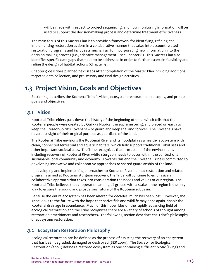will be made with respect to project sequencing, and how monitoring information will be used to support the decision‐making process and determine treatment effectiveness.

The main focus of this Master Plan is to provide a framework for identifying, refining and implementing restoration actions in a collaborative manner that takes into account related restoration programs and includes a mechanism for incorporating new information into the decision-making process (i.e., adaptive management—see Chapter 6). This Master Plan also identifies specific data gaps that need to be addressed in order to further ascertain feasibility and refine the design of habitat actions (Chapter 9).

Chapter 9 describes planned next steps after completion of the Master Plan including additional targeted data collection, and preliminary and final design activities.

# **1.3 Project Vision, Goals and Objectives**

Section 1.3 describes the Kootenai Tribe's vision, ecosystem restoration philosophy, and project goals and objectives.

# **1.3.1 Vision**

Kootenai Tribe elders pass down the history of the beginning of time, which tells that the Kootenai people were created by Quilxka Nupika, the supreme being, and placed on earth to keep the Creator‐Spirit's Covenant – to guard and keep the land forever. The Kootenais have never lost sight of their original purpose as guardians of the land.

The Kootenai Tribe envisions the Kootenai River and its floodplain as a healthy ecosystem with clean, connected terrestrial and aquatic habitats, which fully support traditional Tribal uses and other important societal uses. The Tribe recognizes that protection of the environment, including recovery of Kootenai River white sturgeon needs to occur within the context of a sustainable local community and economy. Towards this end the Kootenai Tribe is committed to developing innovative and collaborative approaches to shared guardianship of the land.

In developing and implementing approaches to Kootenai River habitat restoration and related programs aimed at Kootenai sturgeon recovery, the Tribe will continue to emphasize a collaborative approach that takes into consideration the needs and values of our region. The Kootenai Tribe believes that cooperation among all groups with a stake in the region is the only way to ensure the sound and prosperous future of the Kootenai subbasin.

Because the entire ecosystem has been altered for decades, much has been lost. However, the Tribe looks to the future with the hope that native fish and wildlife may once again inhabit the Kootenai drainage in abundance. Much of this hope rides on the rapidly advancing field of ecological restoration and the Tribe recognizes there are a variety of schools of thought among restoration practitioners and researchers. The following section describes the Tribe's philosophy of ecosystem restoration.

# **1.3.2 Ecosystem Restoration Philosophy**

Ecological restoration can be defined as the process of assisting the recovery of an ecosystem that has been degraded, damaged or destroyed (SER 2004). The Society for Ecological Restoration (2004) defines a restored ecosystem as one containing sufficient biotic (living) and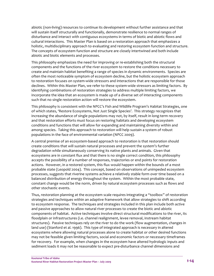abiotic (non‐living) resources to continue its development without further assistance and that will sustain itself structurally and functionally, demonstrate resilience to normal ranges of disturbance and interact with contiguous ecosystems in terms of biotic and abiotic flows and cultural interactions. This Master Plan is based on a restoration approach that emphasizes a holistic, multidisciplinary approach to evaluating and restoring ecosystem function and structure. The concepts of ecosystem function and structure are closely intertwined and both include abiotic and biotic elements and processes.

This philosophy emphasizes the need for improving or re‐establishing both the structural components and the functions of the river ecosystem to restore the conditions necessary to create and maintain habitat benefiting a range of species in dynamic environments. Species are often the most noticeable symptom of ecosystem decline, but the holistic ecosystem approach to restoration focuses on system‐wide stressors and interactions that are responsible for those declines. Within this Master Plan, we refer to these system-wide stressors as limiting factors. By identifying combinations of restoration strategies to address multiple limiting factors, we incorporate the idea that an ecosystem is made up of a diverse set of interacting components such that no single restoration action will restore the ecosystem.

This philosophy is consistent with the NPCC's Fish and Wildlife Program's Habitat Strategies, one of which states, 'Restore Ecosystems, Not Just Single Species'. This strategy recognizes that increasing the abundance of single populations may not, by itself, result in long‐term recovery and that restoration efforts must focus on restoring habitats and developing ecosystem conditions and functions that will allow for expanding and maintaining diversity within and among species. Taking this approach to restoration will help sustain a system of robust populations in the face of environmental variation (NPCC 2009).

A central premise of an ecosystem‐based approach to restoration is that restoration should create conditions that will sustain natural processes and prevent the system's further degradation while simultaneously conserving its native plants and animals. Given that ecosystems are in constant flux and that there is no single correct condition, this philosophy accepts the possibility of a number of responses, trajectories or end points for restoration actions. However, in a restored system, this flux would happen within the bounds of a most probable state (Leopold 2004). This concept, based on observations of unimpeded ecosystem processes, suggests that riverine systems achieve a relatively stable form over time based on a balanced distribution of energy throughout the system. Within the most probable state, constant change would be the norm, driven by natural ecosystem processes such as flows and other stochastic events.

Thus, restoration planning at the ecosystem scale requires integrating a "toolbox" of restoration strategies and techniques within an adaptive framework that allow strategies to shift according to ecosystem response. The techniques and strategies included in this plan include both active and passive approaches to allow natural river processes to create the biotic and abiotic components of habitat. Active techniques involve direct structural modifications to the river, its floodplain or infrastructures (i.e. channel realignment, levee removal, instream habitat structures). Passive techniques rely on the river to do the work (flow augmentation, changes in land use) (Stanford et al. 1996). This type of integrated approach is necessary in altered ecosystems where allowing natural processes alone to create habitat or other desired functions may not be feasible given limiting factors, social and economic factors or necessary timeframes for recovery. For example, when changes in the ecosystem have altered hydrologic inputs and sediment loads it may not be reasonable to expect pre-disturbance channel dimensions and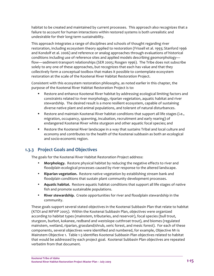habitat to be created and maintained by current processes. This approach also recognizes that a failure to account for human interactions within restored systems is both unrealistic and undesirable for their long‐term sustainability.

This approach integrates a range of disciplines and schools of thought regarding river restoration, including ecosystem theory applied to restoration (Frissell et al. 1993; Stanford 1996 and Kondolf et al. 2006) and reference or analog approaches through evaluations of historical conditions including use of reference sites and applied models describing geomorphology flow—sediment‐transport relationships (SER 2005; Rosgen 1996). The Tribe does not subscribe solely to any one of these approaches, but recognizes that each has value and that they collectively form a conceptual toolbox that makes it possible to contemplate ecosystem restoration at the scale of the Kootenai River Habitat Restoration Project.

Consistent with this ecosystem restoration philosophy, as noted earlier in this chapter, the purpose of the Kootenai River Habitat Restoration Project is to:

- Restore and enhance Kootenai River habitat by addressing ecological limiting factors and constraints related to river morphology, riparian vegetation, aquatic habitat and river stewardship. The desired result is a more resilient ecosystem, capable of sustaining diverse native plant and animal populations, and tolerant of natural disturbances.
- **BED 10.5 The State State is all that State State State State States in Ann Associates States (i.e.,**  $\overline{a}$ ) migration, occupancy, spawning, incubation, recruitment and early rearing) of endangered Kootenai River white sturgeon and other aquatic focal species; and
- Restore the Kootenai River landscape in a way that sustains Tribal and local culture and economy and contributes to the health of the Kootenai subbasin as both an ecological and socio‐economic region.

# **1.3.3 Project Goals and Objectives**

The goals for the Kootenai River Habitat Restoration Project address:

- **Morphology.** Restore physical habitat by reducing the negative effects to river and floodplain ecological processes caused by river response to the altered landscape.
- **Riparian vegetation.** Restore native vegetation by establishing stream bank and floodplain conditions that sustain plant community development processes.
- **Aquatic habitat.** Restore aquatic habitat conditions that support all life stages of native fish and promote sustainable populations.
- **River stewardship.** Create opportunities for river and floodplain stewardship in the community.

These goals support several stated objectives in the Kootenai Subbasin Plan that relate to habitat (KTOI and MFWP 2005). Within the Kootenai Subbasin Plan, objectives were organized according to habitat types (mainstem, tributaries, and reservoir), focal species (bull trout, sturgeon, burbot, kokanee, redband and westslope cutthroat trout), and biomes (regulated mainstem, wetland, riparian, grassland/shrub, xeric forest, and mesic forest). For each of these components, several objectives were identified and numbered, for example, Objective M1 is Mainstem Objective 1. Table 1‐3 identifies Kootenai Subbasin Plan objectives related to habitat that would be addressed by each project goal. Kootenai Subbasin Plan objectives are repeated verbatim from that document.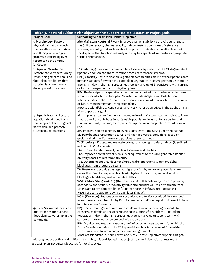|                                                                                                                                                                                            | Table 1-3. Kootenai Subbasin Plan objectives that support Habitat Restoration Project goals.                                                                                                                                                                                                                                                                      |
|--------------------------------------------------------------------------------------------------------------------------------------------------------------------------------------------|-------------------------------------------------------------------------------------------------------------------------------------------------------------------------------------------------------------------------------------------------------------------------------------------------------------------------------------------------------------------|
| <b>Project Goal</b>                                                                                                                                                                        | Supporting Subbasin Plan Habitat Objective <sup>1</sup>                                                                                                                                                                                                                                                                                                           |
| 1. Morphology. Restore<br>physical habitat by reducing<br>the negative effects to river<br>and floodplain ecological<br>processes caused by river<br>response to the altered<br>landscape. | M6 (Mainstem Kootenai River). Improve channel stability to a level equivalent to<br>the QHA-generated, channel stability habitat restoration scores of reference<br>streams, assuming that such levels will support sustainable population levels of<br>focal species that function naturally and may be capable of supporting appropriate<br>forms of human use. |
| 2. Riparian Vegetation.<br>Restore native vegetation by                                                                                                                                    | T2 (Tributary). Restore riparian habitats to levels equivalent to the QHA-generated<br>riparian condition habitat restoration scores of reference streams.                                                                                                                                                                                                        |
| establishing stream bank and<br>floodplain conditions that<br>sustain plant community<br>development processes.                                                                            | RP1 (Riparian). Restore riparian vegetation communities on 10% of the riparian acres<br>in those subunits for which the Floodplain Vegetation Index/Vegetation Distribution<br>Intensity Index in the TBA spreadsheet tool is < a value of 8, consistent with current<br>or future management and mitigation plans.                                               |
|                                                                                                                                                                                            | RP4. Restore riparian vegetation communities on 10% of the riparian acres in those<br>subunits for which the Floodplain Vegetation Index/Vegetation Distribution<br>Intensity Index in the TBA spreadsheet tool is > a value of 8, consistent with current<br>or future management and mitigation plans.                                                          |
|                                                                                                                                                                                            | Most Grassland/shrub, Xeric Forest and Mesic Forest Objectives in the Subbasin Plan<br>also support this goal.                                                                                                                                                                                                                                                    |
| 3. Aquatic Habitat. Restore<br>aquatic habitat conditions<br>that support all life stages of<br>native fish, and promote                                                                   | M2. Improve riparian function and complexity of mainstem riparian habitat to levels<br>that support or contribute to sustainable population levels of focal species that<br>function naturally and may be capable of supporting appropriate forms of human<br>use.                                                                                                |
| sustainable populations.                                                                                                                                                                   | M5. Improve habitat diversity to levels equivalent to the QHA-generated habitat<br>diversity habitat restoration scores, and habitat diversity conditions based on<br>ecological primary literature and possible references rivers.                                                                                                                               |
|                                                                                                                                                                                            | T1 (Tributary). Protect and maintain prime, functioning tributary habitat (identified<br>as Class 1 in QHA analysis)                                                                                                                                                                                                                                              |
|                                                                                                                                                                                            | T6a. Protect habitat diversity in Class 1 streams and reaches.<br>T6b. Improve habitat diversity to a level equivalent to the QHA-generated habitat<br>diversity scores of reference streams.                                                                                                                                                                     |
|                                                                                                                                                                                            | T7b. Determine opportunities for altered hydro operations to remove delta<br>blockages from tributary streams.                                                                                                                                                                                                                                                    |
|                                                                                                                                                                                            | T8. Restore and provide passage to migratory fish by removing potential man-<br>caused barriers, i.e. impassable culverts, hydraulic headcuts, water diversion<br>blockages, landslides, and impassable deltas.                                                                                                                                                   |
|                                                                                                                                                                                            | WST1 (White Sturgeon), BT5 (Bull Trout), and KOK1 (Kokanee). Restore primary,<br>secondary, and tertiary productivity rates and nutrient values downstream from<br>Libby Dam to pre-dam condition (equal to those of inflows into Koocanusa<br>Reservoir, corrected for downstream lateral input).                                                                |
|                                                                                                                                                                                            | KOK1 (Kokanee). Restore primary, secondary, and tertiary productivity rates and<br>values downstream from Libby Dam to pre-dam condition (equal to those of inflows<br>into Koocanusa Reservoir).                                                                                                                                                                 |
| 4. River Stewardship. Create<br>opportunities for river and<br>floodplain stewardship in the<br>community.                                                                                 | RP3. Secure management rights and implement management agreements to<br>conserve, maintain and restore 10% in those subunits for which the Floodplain<br>Vegetation Index in the TBA spreadsheet tool is > a value of 7, consistent with<br>current or future management and mitigation plans.                                                                    |
|                                                                                                                                                                                            | RP5. Monitor and treat an average of 10% of acres in those subunits for which the<br>Exotic Vegetation Index in the TBA spreadsheet tool is > a value of 6, consistent<br>with current and future management and mitigation plans.                                                                                                                                |
|                                                                                                                                                                                            | Most Grassland/shrub, Xeric Forest and Mesic Forest Objectives support this goal.                                                                                                                                                                                                                                                                                 |

Although not specifically identified in this table, it is anticipated that project goals will also help address most Subbasin Plan Biological Objectives for focal species.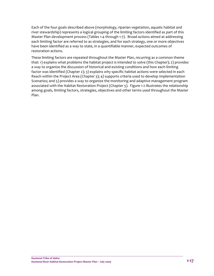Each of the four goals described above (morphology, riparian vegetation, aquatic habitat and river stewardship) represents a logical grouping of the limiting factors identified as part of this Master Plan development process (Tables 1‐4 through 1‐7). Broad actions aimed at addressing each limiting factor are referred to as strategies, and for each strategy, one or more objectives have been identified as a way to state, in a quantifiable manner, expected outcomes of restoration actions.

These limiting factors are repeated throughout the Master Plan, recurring as a common theme that: 1) explains what problems the habitat project is intended to solve (this Chapter); 2) provides a way to organize the discussion of historical and existing conditions and how each limiting factor was identified (Chapter 2); 3) explains why specific habitat actions were selected in each Reach within the Project Area (Chapter 3); 4) supports criteria used to develop Implementation Scenarios; and 5) provides a way to organize the monitoring and adaptive management program associated with the Habitat Restoration Project (Chapter 5). Figure 1‐2 illustrates the relationship among goals, limiting factors, strategies, objectives and other terms used throughout the Master Plan.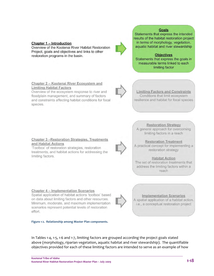#### **Chapter 1 - Introduction**

Overview of the Kootenai River Habitat Restoration Project, goals and objectives and links to other restoration programs in the basin.



#### **Goals**

Statements that express the intended results of the habitat restoration project in terms of morphology, vegetation, aquatic habitat and river stewardship

**Objectives** Statements that express the goals in measurable terms linked to each limiting factor

**Limiting Factors and Constraints** Conditions that limit ecosystem

resilience and habitat for focal species

### Chapter 2 - Kootenai River Ecosystem and **Limiting Habitat Factors**

Overview of the ecosystem response to river and floodplain management, and summary of factors and constraints affecting habitat conditions for focal species.

#### **Chapter 3 - Restoration Strategies, Treatments** and Habitat Actions

'Toolbox' of restoration strategies, restoration treatments, and habitat actions for addressing the limiting factors.

**Restoration Strategy** A general approach for overcoming limiting factors in a reach

**Restoration Treatment** A practical concept for implementing a restoration strategy

#### **Habitat Action**

The set of restoration treatments that address the limiting factors within a reach

**Chapter 4 - Implementation Scenarios** Spatial application of habitat actions 'toolbox' based on data about limiting factors and other resources. Minimum, moderate, and maximum implementation scenarios represent potential levels of restoration effort.

**Figure 1‐2. Relationship among Master Plan components.** 

**Implementation Scenarios** A spatial application of a habitat action, i.e., a conceptual restoration project

In Tables 1‐4, 1‐5, 1‐6 and 1‐7, limiting factors are grouped according the project goals stated above (morphology, riparian vegetation, aquatic habitat and river stewardship). The quantifiable objectives provided for each of these limiting factors are intended to serve as an example of how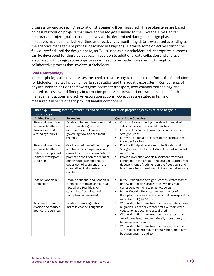progress toward achieving restoration strategies will be measured. These objectives are based on past restoration projects that have addressed goals similar to the Kootenai Rive Habitat Restoration Project goals. Final objectives will be determined during the design phase, and objectives may be modified over time as effectiveness monitoring data is evaluated according to the adaptive management process described in Chapter 5. Because some objectives cannot be fully quantified until the design phase, an "x" is used as a placeholder until appropriate numbers can be developed for these objectives. In addition to additional data collection and analysis associated with design, some objectives will need to be made more specific through a collaborative process that involves stakeholders.

### **Goal 1. Morphology**

The morphological goal addresses the need to restore physical habitat that forms the foundation for biological habitat including riparian vegetation and the aquatic ecosystem. Components of physical habitat include the flow regime, sediment‐transport, river channel morphology and related processes, and floodplain formation processes. Restoration strategies include both management actions and active restoration actions. Objectives are stated in terms of measurable aspects of each physical habitat component.

| Table 1-4. Limiting factors, strategies and habitat restoration project objectives related to goal 1   |                                                                                                                                                                                                                                                  |                                                                                                                                                                                                                                                                                                                                                                                                                                                                      |  |  |
|--------------------------------------------------------------------------------------------------------|--------------------------------------------------------------------------------------------------------------------------------------------------------------------------------------------------------------------------------------------------|----------------------------------------------------------------------------------------------------------------------------------------------------------------------------------------------------------------------------------------------------------------------------------------------------------------------------------------------------------------------------------------------------------------------------------------------------------------------|--|--|
| morphology.                                                                                            |                                                                                                                                                                                                                                                  |                                                                                                                                                                                                                                                                                                                                                                                                                                                                      |  |  |
| <b>Limiting Factors</b>                                                                                | <b>Strategies</b>                                                                                                                                                                                                                                | <b>Quantifiable Objectives</b>                                                                                                                                                                                                                                                                                                                                                                                                                                       |  |  |
| River and floodplain<br>response to altered<br>flow regime and<br>altered hydraulics                   | Establish channel dimensions that<br>are sustainable given the<br>morphological setting and<br>governing flow and sediment<br>regimes                                                                                                            | Construct a meandering gravel-bed channel with<br>$\bullet$<br>side channels in the Braided Reaches<br>Construct a confined gravel-bed channel in the<br>$\bullet$<br>Straight Reach<br>Excavate floodplain adjacent to the channel in the<br>$\bullet$<br><b>Meander Reaches</b>                                                                                                                                                                                    |  |  |
| River and floodplain<br>response to altered<br>sediment supply and<br>sediment-transport<br>conditions | Gradually reduce sediment supply<br>and transport competence in a<br>downstream direction in order to<br>promote deposition of sediment<br>on the floodplain and reduce<br>deposition of sediment on the<br>channel bed in downstream<br>reaches | Provide floodplain surfaces in the Braided and<br>$\bullet$<br>Straight Reaches that will store X tons of sediment<br>over X years<br>Provide river and floodplain sediment-transport<br>٠<br>conditions in the Braided and Straight Reaches that<br>deposit X tons of sediment on the floodplains and<br>less than X tons of sediment in the channel annually                                                                                                       |  |  |
| Loss of floodplain<br>connection                                                                       | Establish channel and floodplain<br>connection at mean annual peak<br>flow where feasible given<br>constraints from river and<br>floodplain management                                                                                           | In the Braided and Straight Reaches, create x acres<br>$\bullet$<br>of new floodplain surfaces at elevations that<br>correspond to river stage at 30,000 cfs<br>In the Meander Reaches, connect x acres of<br>$\bullet$<br>floodplain surfaces at elevations that correspond to<br>river stage at 30,000 cfs                                                                                                                                                         |  |  |
| Accelerated bank<br>erosion and reduced<br>boundary roughness                                          | Establish bank vegetation<br>Increase channel roughness                                                                                                                                                                                          | Within identified bank treatment areas, lateral bank<br>$\bullet$<br>migration is o ft per year for first five years while<br>vegetation is becoming established<br>Within identified bank treatment areas, less than<br>$\bullet$<br>10% of bank length moves laterally more than 5 ft<br>between years 5 and 10<br>Within identified bank treatment areas, less than<br>$\bullet$<br>30% of bank length moves laterally more than 10 ft<br>between years 10 and 20 |  |  |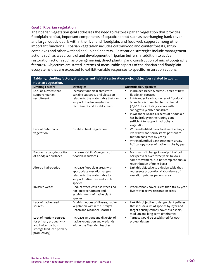### **Goal 2. Riparian vegetation**

The riparian vegetation goal addresses the need to restore riparian vegetation that provides floodplain habitat, important components of aquatic habitat such as overhanging bank cover and large woody debris within the river and floodplain, and food web support among other important functions. Riparian vegetation includes cottonwood and conifer forests, shrub complexes and other wetland and upland habitats. Restoration strategies include management actions such as weed control and development of riparian buffers, in addition to active restoration actions such as bioengineering, direct planting and construction of microtopography features. Objectives are stated in terms of measurable aspects of the riparian and floodplain ecosystems that are expected to exhibit variable responses to specific restoration actions.

| Table 1-5. Limiting factors, strategies and habitat restoration project objectives related to goal 2,                   |                                                                                                                                                                                                 |                                                                                                                                                                                                                                                                                                                                                                                                                                             |  |  |
|-------------------------------------------------------------------------------------------------------------------------|-------------------------------------------------------------------------------------------------------------------------------------------------------------------------------------------------|---------------------------------------------------------------------------------------------------------------------------------------------------------------------------------------------------------------------------------------------------------------------------------------------------------------------------------------------------------------------------------------------------------------------------------------------|--|--|
| riparian vegetation.<br><b>Limiting Factors</b>                                                                         |                                                                                                                                                                                                 |                                                                                                                                                                                                                                                                                                                                                                                                                                             |  |  |
| Lack of surfaces that<br>support riparian<br>recruitment                                                                | <b>Strategies</b><br>Increase floodplain areas with<br>suitable substrate and elevation<br>relative to the water table that can<br>support riparian vegetation<br>recruitment and establishment | <b>Quantifiable Objectives</b><br>In Braided Reach 1, create x acres of new<br>$\bullet$<br>floodplain surfaces<br>In Meander Reach 1, x acres of floodplain<br>$\bullet$<br>is (surface) connected to the river at<br>30,000 cfs, including x acres with<br>sand/gravel/cobble substrate<br>In Meander Reach 1, x acres of floodplain<br>$\bullet$<br>has hydrology in the rooting zone<br>sufficient to support hydrophytic<br>vegetation |  |  |
| Lack of outer bank<br>vegetation                                                                                        | Establish bank vegetation                                                                                                                                                                       | Within identified bank treatment areas, x<br>$\bullet$<br>live willow and shrub stems per square<br>foot on bank face by year 3<br>Within identified bank treatment areas,<br>80% canopy cover of native shrubs by year<br>5                                                                                                                                                                                                                |  |  |
| Frequent scour/deposition<br>of floodplain surfaces                                                                     | Increase stability/longevity of<br>floodplain surfaces                                                                                                                                          | $\bullet$<br>Maximum x% change in footprint of point<br>bars per year over three years (allows<br>some movement, but not complete annual<br>redistribution of point bars)                                                                                                                                                                                                                                                                   |  |  |
| Altered hydroperiod                                                                                                     | Increase floodplain areas with<br>appropriate elevation ranges<br>relative to the water table to<br>support native tree and shrub<br>species                                                    | Link this objective to a design table that<br>$\bullet$<br>represents proportional abundance of<br>elevation patches per unit area                                                                                                                                                                                                                                                                                                          |  |  |
| Invasive weeds                                                                                                          | Reduce weed cover so weeds do<br>not limit recruitment and<br>establishment of native plant<br>species                                                                                          | Weed canopy cover is less than 10% by year<br>five within active restoration areas                                                                                                                                                                                                                                                                                                                                                          |  |  |
| Lack of native seed<br>sources                                                                                          | Establish nodes of diverse, native<br>vegetation within the Straight<br><b>Reach and Meander Reaches</b>                                                                                        | Link this objective to design plant palletes<br>$\bullet$<br>that include a list of species by layer and<br>target density/canopy cover over short,<br>medium and long-term timeframes                                                                                                                                                                                                                                                      |  |  |
| Lack of nutrient sources<br>for primary productivity<br>and limited carbon<br>storage (reduced primary<br>productivity) | Increase amount and diversity of<br>native vegetation and wetlands<br>within the Meander Reaches                                                                                                | Targets would be established for each<br>$\bullet$<br>project design                                                                                                                                                                                                                                                                                                                                                                        |  |  |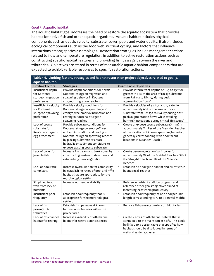### **Goal 3. Aquatic habitat**

The aquatic habitat goal addresses the need to restore the aquatic ecosystem that provides habitat for native fish and other aquatic organisms. Aquatic habitat includes physical components such as depth, velocity, substrate, cover, pools and water quality; it also includes ecological components such as the food web, nutrient cycling, and factors that influence interactions among species assemblages. Restoration strategies include management actions related to flow and temperature regulation, in addition to active restoration actions such as constructing specific habitat features and providing fish passage between the river and tributaries. Objectives are stated in terms of measurable aquatic habitat components that are expected to exhibit variable responses to specific restoration actions.

| Table 1-6. Limiting factors, strategies and habitat restoration project objectives related to goal 3, |                                                                                                                                                                                                                                                           |                                                                                                                                                                                                                                       |  |  |
|-------------------------------------------------------------------------------------------------------|-----------------------------------------------------------------------------------------------------------------------------------------------------------------------------------------------------------------------------------------------------------|---------------------------------------------------------------------------------------------------------------------------------------------------------------------------------------------------------------------------------------|--|--|
| aquatic habitat.                                                                                      |                                                                                                                                                                                                                                                           |                                                                                                                                                                                                                                       |  |  |
| <b>Limiting Factors</b>                                                                               | <b>Strategies</b>                                                                                                                                                                                                                                         | <b>Quantifiable Objectives</b>                                                                                                                                                                                                        |  |  |
| Insufficient depth<br>for Kootenai                                                                    | Provide depth conditions for normal<br>Kootenai sturgeon migration and                                                                                                                                                                                    | Provide intermittent depths of 16.5 to 23 ft or<br>$\bullet$<br>greater in 60% of the area of rocky substrate                                                                                                                         |  |  |
| sturgeon migration                                                                                    | spawning behavior in Kootenai                                                                                                                                                                                                                             | from RM 152 to RM 157 during peak                                                                                                                                                                                                     |  |  |
| preference                                                                                            | sturgeon migration reaches                                                                                                                                                                                                                                | augmentation flows <sup>1</sup>                                                                                                                                                                                                       |  |  |
| Insufficient velocity<br>for Kootenai<br>sturgeon spawning<br>preference                              | Provide velocity conditions for<br>Kootenai sturgeon spawning and<br>embryo/free-embryo incubation and<br>rearing in Kootenai sturgeon<br>spawning reaches                                                                                                | Provide velocities of 3.3 ft/s and greater in<br>$\bullet$<br>approximately 60% of the area of rocky<br>substrate from RM 152 to RM 157 during post-<br>peak augmentation flows while avoiding                                        |  |  |
|                                                                                                       |                                                                                                                                                                                                                                                           | harmful fluctuations during critical life stages <sup>1</sup>                                                                                                                                                                         |  |  |
| Lack of coarse<br>substrate for<br>Kootenai sturgeon<br>egg attachment                                | Provide substrate conditions for<br>Kootenai sturgeon embryo/free-<br>embryo incubation and rearing in<br>Kootenai sturgeon spawning reaches<br>by placing substrate or create<br>hydraulic or sediment conditions to<br>expose existing coarse substrate | Create or expose coarse substrate (X mm) in<br>$\bullet$<br>approximately X miles of the Meander Reaches<br>at the locations of known spawning behavior,<br>generally corresponding with pool tailout<br>locations in Meander Reach 1 |  |  |
| Lack of cover for                                                                                     | Increase in-stream and bank cover by                                                                                                                                                                                                                      | Create dense vegetation bank cover for<br>$\bullet$                                                                                                                                                                                   |  |  |
| juvenile fish                                                                                         | constructing in-stream structures and<br>establishing bank vegetation                                                                                                                                                                                     | approximately X% of the Braided Reaches, X% of<br>the Straight Reach and X% of the Meander<br>Reaches                                                                                                                                 |  |  |
| Lack of pool-riffle<br>complexity                                                                     | Increase hydraulic habitat complexity<br>by establishing ratios of pool and riffle<br>habitat that are appropriate for the<br>morphological setting                                                                                                       | Establish X% pool/glide habitat and X% riffle/run<br>$\bullet$<br>habitat in all reaches                                                                                                                                              |  |  |
| Simplified food<br>web from lack of<br>nutrients                                                      | Increase nutrient availability                                                                                                                                                                                                                            | Reference nutrient addition program and<br>$\bullet$<br>reference other goals/objectives aimed at<br>increasing ecosystem productivity                                                                                                |  |  |
| Insufficient pool                                                                                     | Establish pool frequency that is                                                                                                                                                                                                                          | Establish pool frequency of one pool per unit<br>$\bullet$                                                                                                                                                                            |  |  |
| frequency                                                                                             | appropriate for the morphological<br>setting                                                                                                                                                                                                              | length corresponding to 5 to 7 bankfull widths                                                                                                                                                                                        |  |  |
| Lack of fish<br>passage into<br>tributaries                                                           | Establish fish passage at known<br>barriers on tributaries within the<br>project area                                                                                                                                                                     | Remove fish passage barriers on tributaries<br>$\bullet$                                                                                                                                                                              |  |  |
| Lack of off-channel                                                                                   | Increase availability of off-channel                                                                                                                                                                                                                      | Create x acres of off-channel habitat that is<br>$\bullet$                                                                                                                                                                            |  |  |
| habitat for rearing                                                                                   | habitat for native aquatic species                                                                                                                                                                                                                        | connected to the mainstem at x cfs. This could<br>be linked to a design table that specifies how<br>habitat should be distributed in terms of                                                                                         |  |  |
|                                                                                                       |                                                                                                                                                                                                                                                           | wetland systems/classes                                                                                                                                                                                                               |  |  |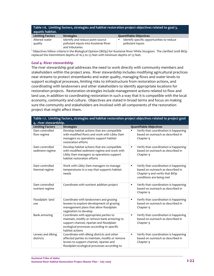| Table 1-6. Limiting factors, strategies and habitat restoration project objectives related to goal 3,<br>aquatic habitat. |                                                                                             |                                                               |  |  |
|---------------------------------------------------------------------------------------------------------------------------|---------------------------------------------------------------------------------------------|---------------------------------------------------------------|--|--|
| <b>Limiting Factors</b>                                                                                                   | <b>Strategies</b>                                                                           | <b>Quantifiable Objectives</b>                                |  |  |
| Altered water<br>quality                                                                                                  | Identify and reduce point source<br>pollutant inputs into Kootenai River<br>and tributaries | Identify specific opportunities to reduce<br>pollutant inputs |  |  |

<sup>1</sup> Objectives follow criteria in the Biological Opinion (BiOp) for Kootenai River White Sturgeon. The clarified 2008 BiOp replaced the intermittent depths of 16.5 to 23 feet with minimum depths of 23 feet.

### **Goal 4. River stewardship**

The river stewardship goal addresses the need to work directly with community members and stakeholders within the project area. River stewardship includes modifying agricultural practices near streams to protect streambanks and water quality, managing flows and water levels to support ecological processes, limiting risks to infrastructure from restoration actions, and coordinating with landowners and other stakeholders to identify appropriate locations for restoration projects. Restoration strategies include management actions related to flow and land use, in addition to coordinating restoration in such a way that it is compatible with the local economy, community and culture. Objectives are stated in broad terms and focus on making sure the community and stakeholders are involved with all components of the restoration project that might affect them.

| Table 1-7. Limiting factors, strategies and habitat restoration project objectives related to project goal |                                                                                                                                                                                                    |                                                                                                                                               |  |  |
|------------------------------------------------------------------------------------------------------------|----------------------------------------------------------------------------------------------------------------------------------------------------------------------------------------------------|-----------------------------------------------------------------------------------------------------------------------------------------------|--|--|
| 4, river stewardship.                                                                                      |                                                                                                                                                                                                    |                                                                                                                                               |  |  |
| <b>Limiting Factors</b>                                                                                    | <b>Strategies</b>                                                                                                                                                                                  | <b>Quantifiable Objectives</b>                                                                                                                |  |  |
| Dam controlled<br>flow regime                                                                              | Develop habitat actions that are compatible<br>with modified flows and work with Libby Dam<br>managers so operations support habitat<br>restoration efforts                                        | Verify that coordination is happening<br>based on outreach as described in<br>Chapter 9                                                       |  |  |
| Dam controlled<br>sediment regime                                                                          | Develop habitat actions that are compatible<br>with modified sediment regime and work with<br>Libby Dam managers so operations support<br>habitat restoration efforts                              | Verify that coordination is happening<br>$\blacksquare$<br>based on outreach as described in<br>Chapter 9                                     |  |  |
| Dam controlled<br>thermal regime                                                                           | Work with Libby Dam managers to manage<br>temperatures in a way that supports habitat<br>needs                                                                                                     | Verify that coordination is happening<br>п<br>based on outreach as described in<br>Chapter 9 and verify that BiOp<br>conditions are being met |  |  |
| Dam controlled<br>nutrient regime                                                                          | Coordinate with nutrient addition project                                                                                                                                                          | Verify that coordination is happening<br>$\blacksquare$<br>based on outreach as described in<br>Chapter 9                                     |  |  |
| Floodplain land<br>use                                                                                     | Coordinate with landowners and grazing<br>lessees to explore development of grazing<br>management plans that allow floodplain<br>vegetation to develop                                             | Verify that coordination is happening<br>$\blacksquare$<br>based on outreach as described in<br>Chapter 9                                     |  |  |
| Bank armoring                                                                                              | Coordinate with appropriate parties to<br>maintain, modify or remove bank armoring to<br>support channel, riparian and floodplain<br>ecological processes according to specific<br>habitat actions | Verify that coordination is happening<br>$\blacksquare$<br>based on outreach as described in<br>Chapter 9                                     |  |  |
| Levees and diking<br>districts                                                                             | Coordinate with diking districts and other<br>affected parties to maintain, modify or remove<br>levees to support channel, riparian and<br>floodplain ecological processes according to            | Verify that coordination is happening<br>$\blacksquare$<br>based on outreach as described in<br>Chapter 9                                     |  |  |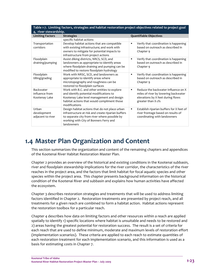| Table 1-7. Limiting factors, strategies and habitat restoration project objectives related to project goal<br>4, river stewardship. |                                                                                                                                                                                                               |                                                                                                                                                          |
|-------------------------------------------------------------------------------------------------------------------------------------|---------------------------------------------------------------------------------------------------------------------------------------------------------------------------------------------------------------|----------------------------------------------------------------------------------------------------------------------------------------------------------|
| <b>Limiting Factors</b>                                                                                                             | <b>Strategies</b>                                                                                                                                                                                             | <b>Quantifiable Objectives</b>                                                                                                                           |
|                                                                                                                                     | specific habitat actions                                                                                                                                                                                      |                                                                                                                                                          |
| Transportation<br>corridors                                                                                                         | Develop habitat actions that are compatible<br>with existing infrastructure; and work with<br>owners to mitigate for potential impacts to<br>infrastructure from project actions                              | Verify that coordination is happening<br>$\blacksquare$<br>based on outreach as described in<br>Chapter 9                                                |
| Floodplain<br>draining/pumping                                                                                                      | Assist diking districts, NRCS, SCD, and<br>landowners as appropriate to identify areas<br>where floodplain draining and pumping can be<br>modified to restore floodplain hydrology                            | Verify that coordination is happening<br>$\blacksquare$<br>based on outreach as described in<br>Chapter 9                                                |
| Floodplain<br>tilling/grading                                                                                                       | Work with NRSC, SCD, and landowners as<br>appropriate to identify areas where<br>microtopography and roughness can be<br>restored to floodplain surfaces                                                      | Verify that coordination is happening<br>$\blacksquare$<br>based on outreach as described in<br>Chapter 9                                                |
| Backwater<br>influence from<br>Kootenay Lake                                                                                        | Work with B.C. and other entities to explore<br>and identify potential modifications to<br>Kootenay Lake level management and design<br>habitat actions that would compliment those<br>modifications          | Reduce the backwater influence on X<br>$\blacksquare$<br>miles of river by lowering backwater<br>elevations by X feet during flows<br>greater than X cfs |
| Urban<br>development<br>adjacent to river                                                                                           | Design habitat actions that do not place urban<br>infrastructure at risk and create riparian buffers<br>to separate city from river where possible by<br>working with City of Bonners Ferry and<br>landowners | Establish riparian buffers for X feet of<br>$\blacksquare$<br>river frontage based on results of<br>coordinating with landowners                         |

# **1.4 Master Plan Organization and Content**

This section summarizes the organization and content of the remaining chapters and appendices of the Kootenai River Habitat Restoration Master Plan.

Chapter 2 provides an overview of the historical and existing conditions in the Kootenai subbasin, river and floodplain stewardship implications for the river corridor, the characteristics of the river reaches in the project area, and the factors that limit habitat for focal aquatic species and other species within the project area. This chapter presents background information on the historical condition of the Kootenai River and subbasin and explains how human activities have affected the ecosystem.

Chapter 3 describes restoration strategies and treatments that will be used to address limiting factors identified in Chapter 2. Restoration treatments are presented by project reach, and all treatments for a given reach are combined to form a habitat action. Habitat actions represent the restoration toolbox for a particular reach.

Chapter 4 describes how data on limiting factors and other resources within a reach are applied spatially to identify 1) specific locations where habitat is unsuitable and needs to be restored and 2) areas having the greatest potential for restoration success. The result is a set of criteria for each reach that are used to define minimum, moderate and maximum levels of restoration effort (implementation scenarios). These criteria are applied to each reach to estimate quantities of each restoration treatment for each implementation scenario, and this information is used as a basis for estimating costs in Chapter 7.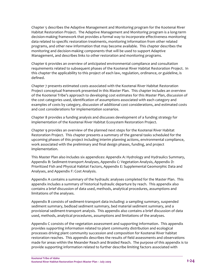Chapter 5 describes the Adaptive Management and Monitoring program for the Kootenai River Habitat Restoration Project. The Adaptive Management and Monitoring program is a long‐term decision‐making framework that provides a formal way to incorporate effectiveness monitoring data related to specific restoration treatments, monitoring information from other related programs, and other new information that may become available. This chapter describes the monitoring and decision‐making components that will be used to support Adaptive Management, and describes links to other restoration and monitoring programs.

Chapter 6 provides an overview of anticipated environmental compliance and consultation requirements related to subsequent phases of the Kootenai River Habitat Restoration Project. In this chapter the applicability to this project of each law, regulation, ordinance, or guideline, is defined.

Chapter 7 presents estimated costs associated with the Kootenai River Habitat Restoration Project conceptual framework presented in this Master Plan. This chapter includes an overview of the Kootenai Tribe's approach to developing cost estimates for this Master Plan, discussion of the cost categories used, identification of assumptions associated with each category and examples of costs by category, discussion of additional cost considerations, and estimated costs and cost considerations for implementation scenarios.

Chapter 8 provides a funding analysis and discusses development of a funding strategy for implementation of the Kootenai River Habitat Ecosystem Restoration Project.

Chapter 9 provides an overview of the planned next steps for the Kootenai River Habitat Restoration Project. This chapter presents a summary of the general tasks scheduled for the upcoming phases of this project including interim planning actions, environmental compliance, work associated with the preliminary and final design phases, funding, and project implementation.

This Master Plan also includes six appendices: Appendix A: Hydrology and Hydraulics Summary, Appendix B: Sediment‐transport Analyses, Appendix C: Vegetation Analysis, Appendix D: Prioritized Fish and Physical Habitat Factors, Appendix E: Supplemental Geomorphic Data and Analyses, and Appendix F: Cost Analysis.

Appendix A contains a summary of the hydraulic analyses completed for the Master Plan. This appendix includes a summary of historical hydraulic departure by reach. This appendix also contains a brief discussion of data used, methods, analytical procedures, assumptions and limitations of the analyses.

Appendix B consists of sediment‐transport data including: a sampling summary, suspended sediment summary, bedload sediment summary, bed material sediment summary, and a provisional sediment‐transport analysis. This appendix also contains a brief discussion of data used, methods, analytical procedures, assumptions and limitations of the analyses.

Appendix C consists of the vegetation assessment and supporting information. This appendix provides supporting information related to plant community distribution and ecological processes driving plant community succession and composition for Kootenai River habitat restoration reaches. This appendix describes the results of field assessments and observations made for areas within the Meander Reach and Braided Reach. The purpose of this appendix is to provide supporting information related to further describe limiting factors associated with